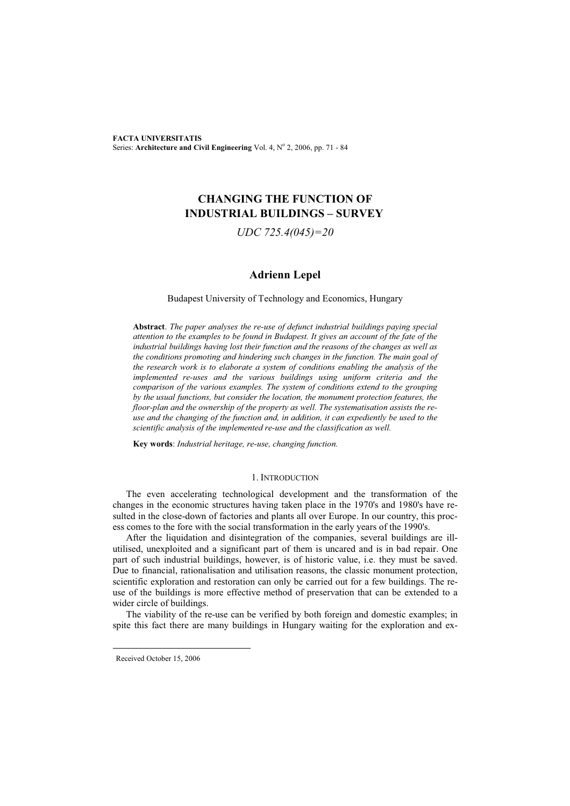**FACTA UNIVERSITATIS** Series: Architecture and Civil Engineering Vol. 4, Nº 2, 2006, pp. 71 - 84

# **CHANGING THE FUNCTION OF INDUSTRIAL BUILDINGS – SURVEY**

*UDC 725.4(045)=20* 

# **Adrienn Lepel**

# Budapest University of Technology and Economics, Hungary

**Abstract**. *The paper analyses the re-use of defunct industrial buildings paying special attention to the examples to be found in Budapest. It gives an account of the fate of the industrial buildings having lost their function and the reasons of the changes as well as the conditions promoting and hindering such changes in the function. The main goal of the research work is to elaborate a system of conditions enabling the analysis of the implemented re-uses and the various buildings using uniform criteria and the comparison of the various examples. The system of conditions extend to the grouping by the usual functions, but consider the location, the monument protection features, the floor-plan and the ownership of the property as well. The systematisation assists the reuse and the changing of the function and, in addition, it can expediently be used to the scientific analysis of the implemented re-use and the classification as well.* 

**Key words**: *Industrial heritage, re-use, changing function.* 

#### 1. INTRODUCTION

The even accelerating technological development and the transformation of the changes in the economic structures having taken place in the 1970's and 1980's have resulted in the close-down of factories and plants all over Europe. In our country, this process comes to the fore with the social transformation in the early years of the 1990's.

After the liquidation and disintegration of the companies, several buildings are illutilised, unexploited and a significant part of them is uncared and is in bad repair. One part of such industrial buildings, however, is of historic value, i.e. they must be saved. Due to financial, rationalisation and utilisation reasons, the classic monument protection, scientific exploration and restoration can only be carried out for a few buildings. The reuse of the buildings is more effective method of preservation that can be extended to a wider circle of buildings.

The viability of the re-use can be verified by both foreign and domestic examples; in spite this fact there are many buildings in Hungary waiting for the exploration and ex-

Received October 15, 2006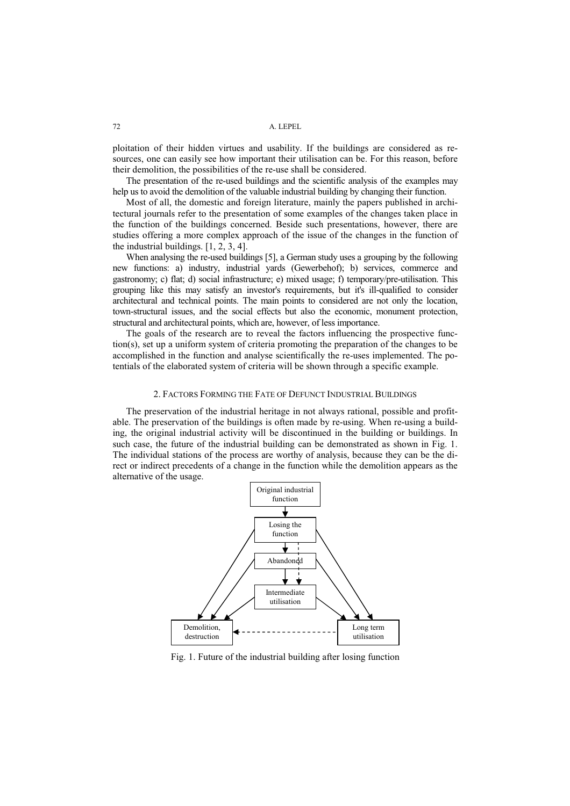ploitation of their hidden virtues and usability. If the buildings are considered as resources, one can easily see how important their utilisation can be. For this reason, before their demolition, the possibilities of the re-use shall be considered.

The presentation of the re-used buildings and the scientific analysis of the examples may help us to avoid the demolition of the valuable industrial building by changing their function.

Most of all, the domestic and foreign literature, mainly the papers published in architectural journals refer to the presentation of some examples of the changes taken place in the function of the buildings concerned. Beside such presentations, however, there are studies offering a more complex approach of the issue of the changes in the function of the industrial buildings. [1, 2, 3, 4].

When analysing the re-used buildings [5], a German study uses a grouping by the following new functions: a) industry, industrial yards (Gewerbehof); b) services, commerce and gastronomy; c) flat; d) social infrastructure; e) mixed usage; f) temporary/pre-utilisation. This grouping like this may satisfy an investor's requirements, but it's ill-qualified to consider architectural and technical points. The main points to considered are not only the location, town-structural issues, and the social effects but also the economic, monument protection, structural and architectural points, which are, however, of less importance.

The goals of the research are to reveal the factors influencing the prospective function(s), set up a uniform system of criteria promoting the preparation of the changes to be accomplished in the function and analyse scientifically the re-uses implemented. The potentials of the elaborated system of criteria will be shown through a specific example.

#### 2. FACTORS FORMING THE FATE OF DEFUNCT INDUSTRIAL BUILDINGS

The preservation of the industrial heritage in not always rational, possible and profitable. The preservation of the buildings is often made by re-using. When re-using a building, the original industrial activity will be discontinued in the building or buildings. In such case, the future of the industrial building can be demonstrated as shown in Fig. 1. The individual stations of the process are worthy of analysis, because they can be the direct or indirect precedents of a change in the function while the demolition appears as the alternative of the usage.



Fig. 1. Future of the industrial building after losing function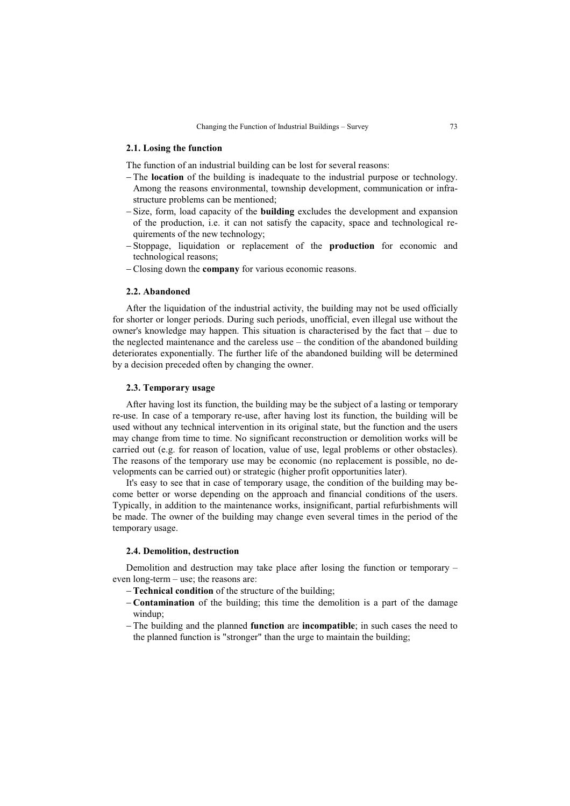### **2.1. Losing the function**

The function of an industrial building can be lost for several reasons:

- The **location** of the building is inadequate to the industrial purpose or technology. Among the reasons environmental, township development, communication or infrastructure problems can be mentioned;
- -Size, form, load capacity of the **building** excludes the development and expansion of the production, i.e. it can not satisfy the capacity, space and technological requirements of the new technology;
- Stoppage, liquidation or replacement of the **production** for economic and technological reasons;
- Closing down the **company** for various economic reasons.

### **2.2. Abandoned**

After the liquidation of the industrial activity, the building may not be used officially for shorter or longer periods. During such periods, unofficial, even illegal use without the owner's knowledge may happen. This situation is characterised by the fact that – due to the neglected maintenance and the careless use – the condition of the abandoned building deteriorates exponentially. The further life of the abandoned building will be determined by a decision preceded often by changing the owner.

# **2.3. Temporary usage**

After having lost its function, the building may be the subject of a lasting or temporary re-use. In case of a temporary re-use, after having lost its function, the building will be used without any technical intervention in its original state, but the function and the users may change from time to time. No significant reconstruction or demolition works will be carried out (e.g. for reason of location, value of use, legal problems or other obstacles). The reasons of the temporary use may be economic (no replacement is possible, no developments can be carried out) or strategic (higher profit opportunities later).

It's easy to see that in case of temporary usage, the condition of the building may become better or worse depending on the approach and financial conditions of the users. Typically, in addition to the maintenance works, insignificant, partial refurbishments will be made. The owner of the building may change even several times in the period of the temporary usage.

# **2.4. Demolition, destruction**

Demolition and destruction may take place after losing the function or temporary – even long-term – use; the reasons are:

- **Technical condition** of the structure of the building;
- **Contamination** of the building; this time the demolition is a part of the damage windup;
- The building and the planned **function** are **incompatible**; in such cases the need to the planned function is "stronger" than the urge to maintain the building;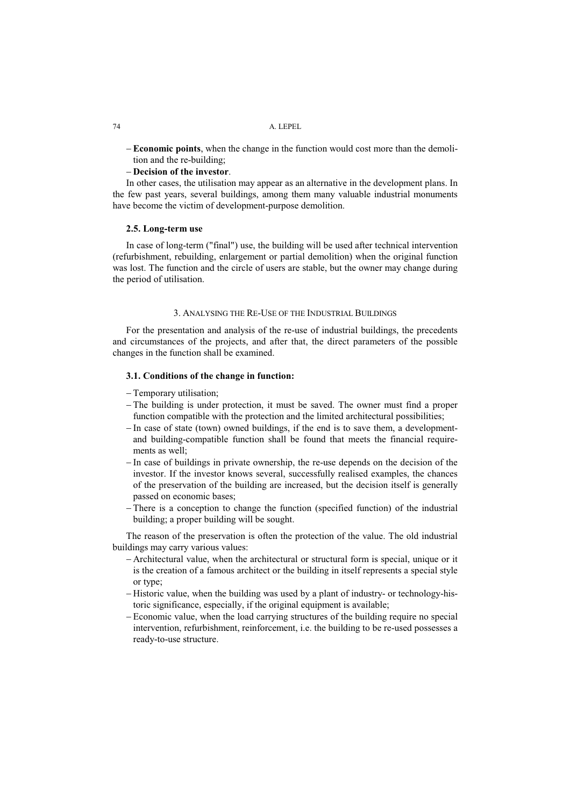**Economic points**, when the change in the function would cost more than the demolition and the re-building;

# **Decision of the investor**.

In other cases, the utilisation may appear as an alternative in the development plans. In the few past years, several buildings, among them many valuable industrial monuments have become the victim of development-purpose demolition.

### **2.5. Long-term use**

In case of long-term ("final") use, the building will be used after technical intervention (refurbishment, rebuilding, enlargement or partial demolition) when the original function was lost. The function and the circle of users are stable, but the owner may change during the period of utilisation.

#### 3. ANALYSING THE RE-USE OF THE INDUSTRIAL BUILDINGS

For the presentation and analysis of the re-use of industrial buildings, the precedents and circumstances of the projects, and after that, the direct parameters of the possible changes in the function shall be examined.

#### **3.1. Conditions of the change in function:**

Temporary utilisation;

- The building is under protection, it must be saved. The owner must find a proper function compatible with the protection and the limited architectural possibilities;
- In case of state (town) owned buildings, if the end is to save them, a developmentand building-compatible function shall be found that meets the financial requirements as well;
- In case of buildings in private ownership, the re-use depends on the decision of the investor. If the investor knows several, successfully realised examples, the chances of the preservation of the building are increased, but the decision itself is generally passed on economic bases;
- There is a conception to change the function (specified function) of the industrial building; a proper building will be sought.

The reason of the preservation is often the protection of the value. The old industrial buildings may carry various values:

- Architectural value, when the architectural or structural form is special, unique or it is the creation of a famous architect or the building in itself represents a special style or type;
- $-Historic value, when the building was used by a plant of industry- or technology-his$ toric significance, especially, if the original equipment is available;
- Economic value, when the load carrying structures of the building require no special intervention, refurbishment, reinforcement, i.e. the building to be re-used possesses a ready-to-use structure.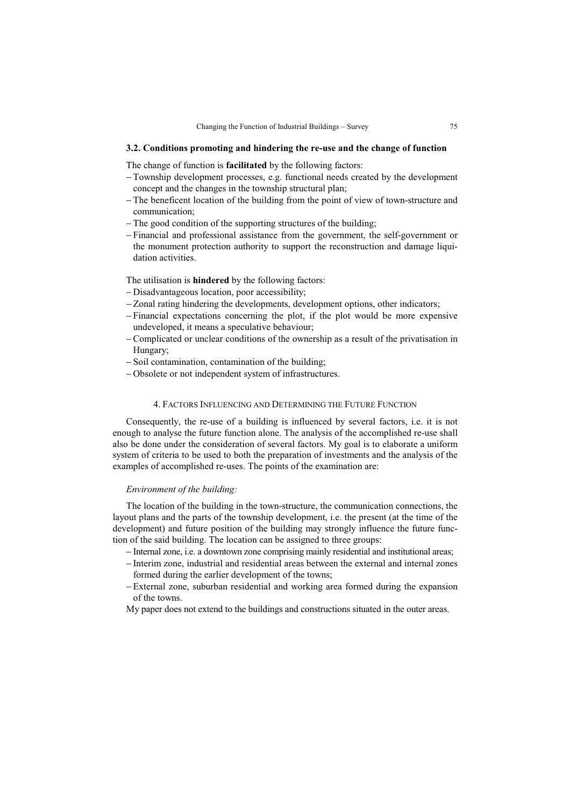### **3.2. Conditions promoting and hindering the re-use and the change of function**

The change of function is **facilitated** by the following factors:

- Township development processes, e.g. functional needs created by the development concept and the changes in the township structural plan;
- The beneficent location of the building from the point of view of town-structure and communication;
- The good condition of the supporting structures of the building;
- Financial and professional assistance from the government, the self-government or the monument protection authority to support the reconstruction and damage liquidation activities.

The utilisation is **hindered** by the following factors:

- Disadvantageous location, poor accessibility;
- Zonal rating hindering the developments, development options, other indicators;
- Financial expectations concerning the plot, if the plot would be more expensive undeveloped, it means a speculative behaviour;
- Complicated or unclear conditions of the ownership as a result of the privatisation in Hungary;
- Soil contamination, contamination of the building;
- Obsolete or not independent system of infrastructures.

# 4. FACTORS INFLUENCING AND DETERMINING THE FUTURE FUNCTION

Consequently, the re-use of a building is influenced by several factors, i.e. it is not enough to analyse the future function alone. The analysis of the accomplished re-use shall also be done under the consideration of several factors. My goal is to elaborate a uniform system of criteria to be used to both the preparation of investments and the analysis of the examples of accomplished re-uses. The points of the examination are:

# *Environment of the building:*

The location of the building in the town-structure, the communication connections, the layout plans and the parts of the township development, i.e. the present (at the time of the development) and future position of the building may strongly influence the future function of the said building. The location can be assigned to three groups:

- Internal zone, i.e. a downtown zone comprising mainly residential and institutional areas;
- Interim zone, industrial and residential areas between the external and internal zones formed during the earlier development of the towns;
- External zone, suburban residential and working area formed during the expansion of the towns.
- My paper does not extend to the buildings and constructions situated in the outer areas.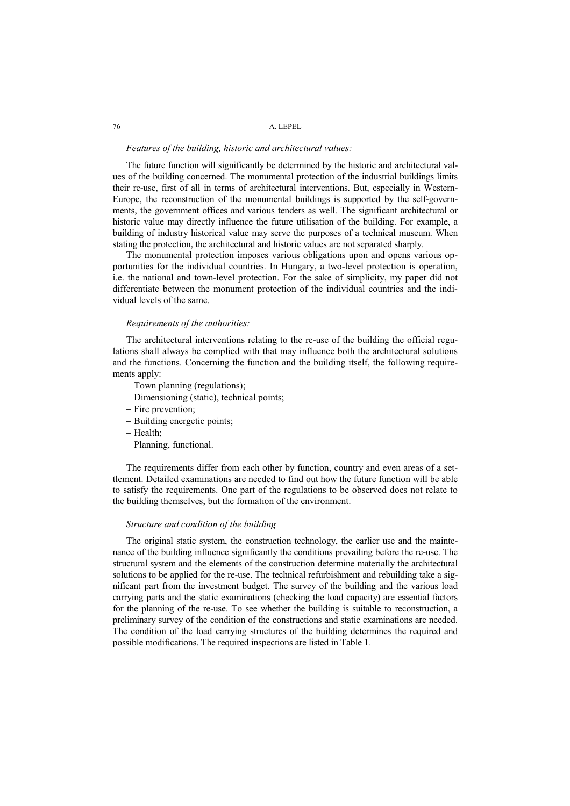#### *Features of the building, historic and architectural values:*

The future function will significantly be determined by the historic and architectural values of the building concerned. The monumental protection of the industrial buildings limits their re-use, first of all in terms of architectural interventions. But, especially in Western-Europe, the reconstruction of the monumental buildings is supported by the self-governments, the government offices and various tenders as well. The significant architectural or historic value may directly influence the future utilisation of the building. For example, a building of industry historical value may serve the purposes of a technical museum. When stating the protection, the architectural and historic values are not separated sharply.

The monumental protection imposes various obligations upon and opens various opportunities for the individual countries. In Hungary, a two-level protection is operation, i.e. the national and town-level protection. For the sake of simplicity, my paper did not differentiate between the monument protection of the individual countries and the individual levels of the same.

#### *Requirements of the authorities:*

The architectural interventions relating to the re-use of the building the official regulations shall always be complied with that may influence both the architectural solutions and the functions. Concerning the function and the building itself, the following requirements apply:

- Town planning (regulations);
- Dimensioning (static), technical points;
- Fire prevention;
- Building energetic points;
- Health:
- Planning, functional.

The requirements differ from each other by function, country and even areas of a settlement. Detailed examinations are needed to find out how the future function will be able to satisfy the requirements. One part of the regulations to be observed does not relate to the building themselves, but the formation of the environment.

# *Structure and condition of the building*

The original static system, the construction technology, the earlier use and the maintenance of the building influence significantly the conditions prevailing before the re-use. The structural system and the elements of the construction determine materially the architectural solutions to be applied for the re-use. The technical refurbishment and rebuilding take a significant part from the investment budget. The survey of the building and the various load carrying parts and the static examinations (checking the load capacity) are essential factors for the planning of the re-use. To see whether the building is suitable to reconstruction, a preliminary survey of the condition of the constructions and static examinations are needed. The condition of the load carrying structures of the building determines the required and possible modifications. The required inspections are listed in Table 1.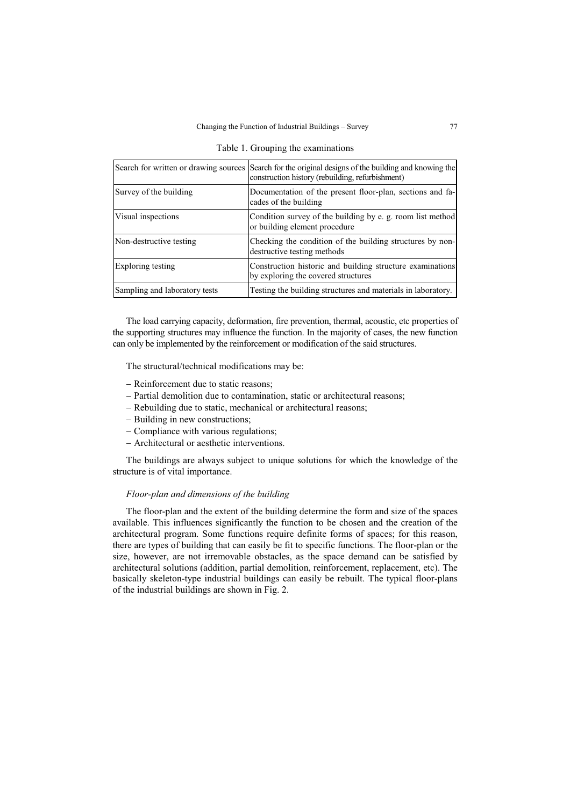|  |  | Table 1. Grouping the examinations |  |
|--|--|------------------------------------|--|
|--|--|------------------------------------|--|

|                               | Search for written or drawing sources Search for the original designs of the building and knowing the<br>construction history (rebuilding, refurbishment) |
|-------------------------------|-----------------------------------------------------------------------------------------------------------------------------------------------------------|
| Survey of the building        | Documentation of the present floor-plan, sections and fa-<br>cades of the building                                                                        |
| Visual inspections            | Condition survey of the building by e. g. room list method<br>or building element procedure                                                               |
| Non-destructive testing       | Checking the condition of the building structures by non-<br>destructive testing methods                                                                  |
| Exploring testing             | Construction historic and building structure examinations<br>by exploring the covered structures                                                          |
| Sampling and laboratory tests | Testing the building structures and materials in laboratory.                                                                                              |

The load carrying capacity, deformation, fire prevention, thermal, acoustic, etc properties of the supporting structures may influence the function. In the majority of cases, the new function can only be implemented by the reinforcement or modification of the said structures.

The structural/technical modifications may be:

- Reinforcement due to static reasons:
- Partial demolition due to contamination, static or architectural reasons;
- Rebuilding due to static, mechanical or architectural reasons;
- Building in new constructions;
- Compliance with various regulations;
- Architectural or aesthetic interventions.

The buildings are always subject to unique solutions for which the knowledge of the structure is of vital importance.

### *Floor-plan and dimensions of the building*

The floor-plan and the extent of the building determine the form and size of the spaces available. This influences significantly the function to be chosen and the creation of the architectural program. Some functions require definite forms of spaces; for this reason, there are types of building that can easily be fit to specific functions. The floor-plan or the size, however, are not irremovable obstacles, as the space demand can be satisfied by architectural solutions (addition, partial demolition, reinforcement, replacement, etc). The basically skeleton-type industrial buildings can easily be rebuilt. The typical floor-plans of the industrial buildings are shown in Fig. 2.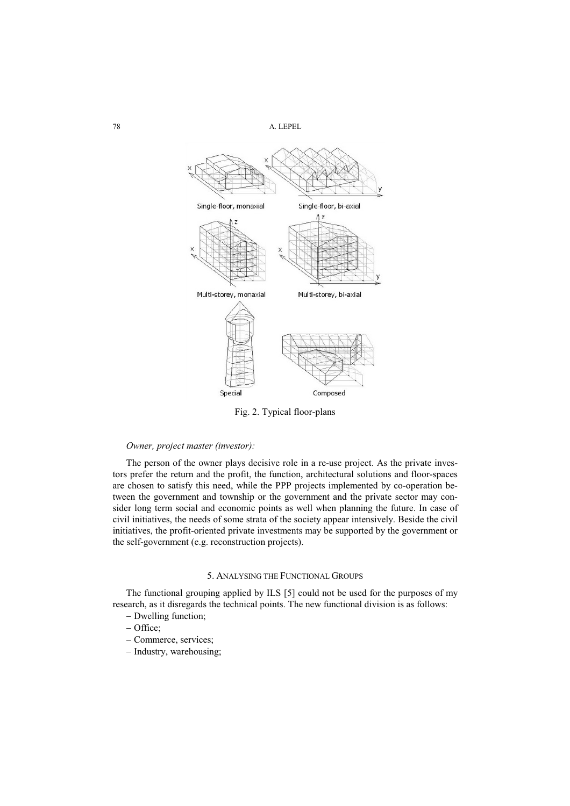78 A. LEPEL



Fig. 2. Typical floor-plans

# *Owner, project master (investor):*

The person of the owner plays decisive role in a re-use project. As the private investors prefer the return and the profit, the function, architectural solutions and floor-spaces are chosen to satisfy this need, while the PPP projects implemented by co-operation between the government and township or the government and the private sector may consider long term social and economic points as well when planning the future. In case of civil initiatives, the needs of some strata of the society appear intensively. Beside the civil initiatives, the profit-oriented private investments may be supported by the government or the self-government (e.g. reconstruction projects).

# 5. ANALYSING THE FUNCTIONAL GROUPS

The functional grouping applied by ILS [5] could not be used for the purposes of my research, as it disregards the technical points. The new functional division is as follows:

- Dwelling function;
- Office;
- Commerce, services;
- Industry, warehousing;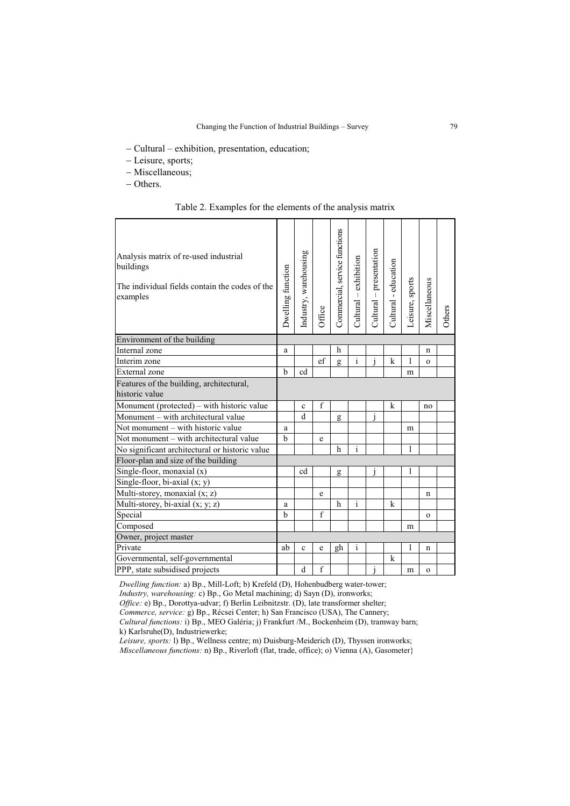Cultural – exhibition, presentation, education;

- Leisure, sports;
- Miscellaneous;
- Others.

Table 2. Examples for the elements of the analysis matrix

| Analysis matrix of re-used industrial<br>buildings<br>The individual fields contain the codes of the<br>examples | Dwelling function | Industry, warehousing | Office       | Commercial, service functions | Cultural – exhibition | Cultural – presentation | Cultural - education | Leisure, sports | Miscellaneous | Others |
|------------------------------------------------------------------------------------------------------------------|-------------------|-----------------------|--------------|-------------------------------|-----------------------|-------------------------|----------------------|-----------------|---------------|--------|
| Environment of the building                                                                                      |                   |                       |              |                               |                       |                         |                      |                 |               |        |
| Internal zone                                                                                                    | a                 |                       |              | h                             |                       |                         |                      |                 | n             |        |
| Interim zone                                                                                                     |                   |                       | ef           | g                             | $\overline{i}$        | $\overline{i}$          | k                    | 1               | $\Omega$      |        |
| External zone                                                                                                    | h                 | cd                    |              |                               |                       |                         |                      | m               |               |        |
| Features of the building, architectural,<br>historic value                                                       |                   |                       |              |                               |                       |                         |                      |                 |               |        |
| Monument (protected) – with historic value                                                                       |                   | $\mathbf{c}$          | $\mathbf{f}$ |                               |                       |                         | k                    |                 | no            |        |
| Monument – with architectural value                                                                              |                   | d                     |              | g                             |                       | i                       |                      |                 |               |        |
| Not monument – with historic value                                                                               | a                 |                       |              |                               |                       |                         |                      | m               |               |        |
| Not monument - with architectural value                                                                          | $\mathbf b$       |                       | e            |                               |                       |                         |                      |                 |               |        |
| No significant architectural or historic value                                                                   |                   |                       |              | h                             | $\mathbf{i}$          |                         |                      | 1               |               |        |
| Floor-plan and size of the building                                                                              |                   |                       |              |                               |                       |                         |                      |                 |               |        |
| Single-floor, monaxial (x)                                                                                       |                   | cd                    |              | g                             |                       | j                       |                      | 1               |               |        |
| Single-floor, bi-axial (x; y)                                                                                    |                   |                       |              |                               |                       |                         |                      |                 |               |        |
| Multi-storey, monaxial (x; z)                                                                                    |                   |                       | e            |                               |                       |                         |                      |                 | n             |        |
| Multi-storey, bi-axial (x; y; z)                                                                                 | a                 |                       |              | h                             | $\mathbf{i}$          |                         | k                    |                 |               |        |
| Special                                                                                                          | $\mathbf b$       |                       | $\mathbf{f}$ |                               |                       |                         |                      |                 | $\mathbf{o}$  |        |
| Composed                                                                                                         |                   |                       |              |                               |                       |                         |                      | m               |               |        |
| Owner, project master                                                                                            |                   |                       |              |                               |                       |                         |                      |                 |               |        |
| Private                                                                                                          | ab                | $\mathbf{c}$          | e            | gh                            | $\mathbf{i}$          |                         |                      | 1               | n             |        |
| Governmental, self-governmental                                                                                  |                   |                       |              |                               |                       |                         | k                    |                 |               |        |
| PPP, state subsidised projects                                                                                   |                   | d                     | $\mathbf{f}$ |                               |                       | j                       |                      | m               | $\mathbf{o}$  |        |

*Dwelling function:* a) Bp., Mill-Loft; b) Krefeld (D), Hohenbudberg water-tower; *Industry, warehousing:* c) Bp., Go Metal machining; d) Sayn (D), ironworks; *Office:* e) Bp., Dorottya-udvar; f) Berlin Leibnitzstr. (D), late transformer shelter; *Commerce, service:* g) Bp., Récsei Center; h) San Francisco (USA), The Cannery; *Cultural functions:* i) Bp., MEO Galéria; j) Frankfurt /M., Bockenheim (D), tramway barn; k) Karlsruhe(D), Industriewerke;

*Leisure, sports:* l) Bp., Wellness centre; m) Duisburg-Meiderich (D), Thyssen ironworks; *Miscellaneous functions:* n) Bp., Riverloft (flat, trade, office); o) Vienna (A), Gasometer}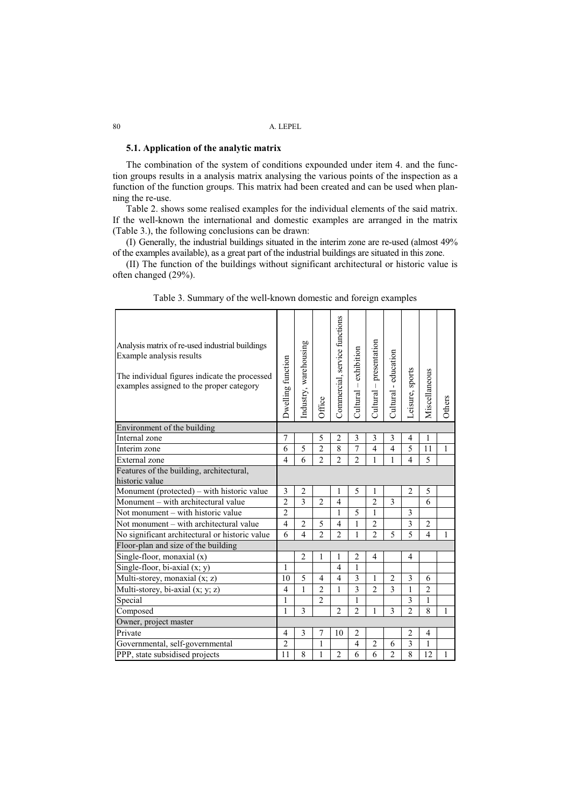# **5.1. Application of the analytic matrix**

The combination of the system of conditions expounded under item 4. and the function groups results in a analysis matrix analysing the various points of the inspection as a function of the function groups. This matrix had been created and can be used when planning the re-use.

Table 2. shows some realised examples for the individual elements of the said matrix. If the well-known the international and domestic examples are arranged in the matrix (Table 3.), the following conclusions can be drawn:

(I) Generally, the industrial buildings situated in the interim zone are re-used (almost 49% of the examples available), as a great part of the industrial buildings are situated in this zone.

(II) The function of the buildings without significant architectural or historic value is often changed (29%).

| Analysis matrix of re-used industrial buildings<br>Example analysis results<br>The individual figures indicate the processed<br>examples assigned to the proper category | Dwelling function | Industry, warehousing | Office                   | Commercial, service functions | exhibition<br>$Cultural -$ | presentation<br>$Cultural -$ | education<br>$\mathbf{r}$<br>Cultural | Leisure, sports          | Miscellaneous  | Others |
|--------------------------------------------------------------------------------------------------------------------------------------------------------------------------|-------------------|-----------------------|--------------------------|-------------------------------|----------------------------|------------------------------|---------------------------------------|--------------------------|----------------|--------|
| Environment of the building                                                                                                                                              |                   |                       |                          |                               |                            |                              |                                       |                          |                |        |
| Internal zone                                                                                                                                                            | 7                 |                       | 5                        | 2                             | 3                          | 3                            | 3                                     | 4                        | 1              |        |
| Interim zone                                                                                                                                                             | 6                 | 5                     | $\overline{2}$           | 8                             | $\overline{7}$             | $\overline{4}$               | 4                                     | 5                        | 11             | 1      |
| External zone                                                                                                                                                            | $\overline{4}$    | 6                     | $\overline{2}$           | $\mathfrak{D}$                | $\overline{2}$             | 1                            | 1                                     | $\overline{\mathbf{A}}$  | 5              |        |
| Features of the building, architectural,<br>historic value                                                                                                               |                   |                       |                          |                               |                            |                              |                                       |                          |                |        |
| Monument (protected) – with historic value                                                                                                                               | 3                 | 2                     |                          | 1                             | 5                          | 1                            |                                       | $\overline{c}$           | 5              |        |
| Monument - with architectural value                                                                                                                                      | $\overline{2}$    | 3                     | $\overline{c}$           | $\overline{4}$                |                            | $\overline{\mathcal{L}}$     | 3                                     |                          | 6              |        |
| Not monument – with historic value                                                                                                                                       | $\overline{2}$    |                       |                          | 1                             | 5                          | 1                            |                                       | 3                        |                |        |
| Not monument – with architectural value                                                                                                                                  | $\overline{4}$    | $\overline{2}$        | 5                        | 4                             | 1                          | $\overline{c}$               |                                       | 3                        | $\overline{2}$ |        |
| No significant architectural or historic value                                                                                                                           | 6                 | $\overline{4}$        | $\overline{\mathcal{L}}$ | $\mathfrak{D}$                | 1                          | $\overline{\mathcal{L}}$     | 5                                     | $\overline{\phantom{0}}$ | $\overline{4}$ | 1      |
| Floor-plan and size of the building                                                                                                                                      |                   |                       |                          |                               |                            |                              |                                       |                          |                |        |
| Single-floor, monaxial (x)                                                                                                                                               |                   | $\overline{2}$        | 1                        | 1                             | $\overline{2}$             | 4                            |                                       | $\overline{4}$           |                |        |
| Single-floor, bi-axial (x; y)                                                                                                                                            | 1                 |                       |                          | 4                             | 1                          |                              |                                       |                          |                |        |
| Multi-storey, monaxial (x; z)                                                                                                                                            | 10                | 5                     | 4                        | 4                             | 3                          | 1                            | $\overline{2}$                        | 3                        | 6              |        |
| Multi-storey, bi-axial (x; y; z)                                                                                                                                         | $\overline{4}$    | 1                     | $\overline{2}$           | 1                             | 3                          | $\overline{2}$               | 3                                     | 1                        | $\overline{2}$ |        |
| Special                                                                                                                                                                  | $\mathbf{1}$      |                       | $\mathfrak{D}$           |                               | 1                          |                              |                                       | $\mathcal{E}$            | $\mathbf{1}$   |        |
| Composed                                                                                                                                                                 | 1                 | $\mathcal{E}$         |                          | $\overline{2}$                | $\overline{2}$             | 1                            | 3                                     | $\overline{2}$           | 8              | 1      |
| Owner, project master                                                                                                                                                    |                   |                       |                          |                               |                            |                              |                                       |                          |                |        |
| Private                                                                                                                                                                  | $\overline{4}$    | 3                     | 7                        | 10                            | $\overline{2}$             |                              |                                       | $\overline{2}$           | 4              |        |
| Governmental, self-governmental                                                                                                                                          | $\overline{2}$    |                       | 1                        |                               | $\overline{4}$             | $\overline{2}$               | 6                                     | 3                        | 1              |        |
| PPP, state subsidised projects                                                                                                                                           | 11                | 8                     | 1                        | $\overline{2}$                | 6                          | 6                            | $\overline{2}$                        | 8                        | 12             | 1      |

Table 3. Summary of the well-known domestic and foreign examples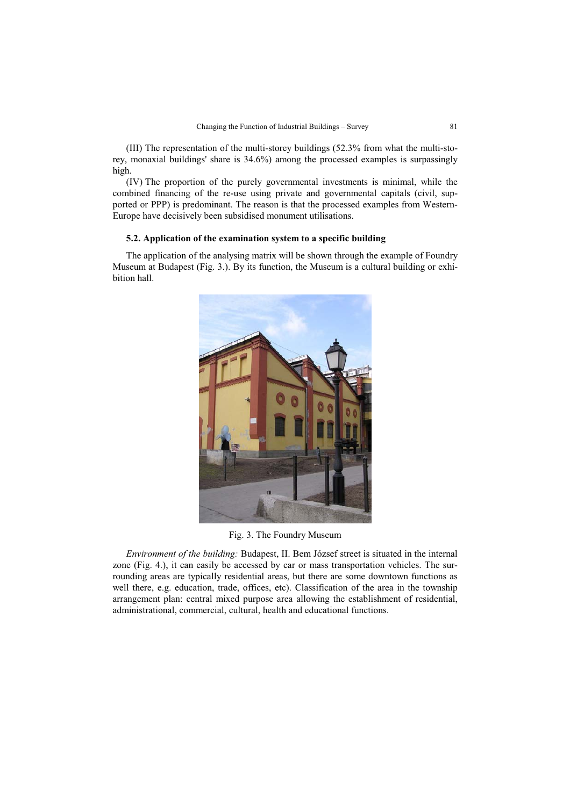(III) The representation of the multi-storey buildings (52.3% from what the multi-storey, monaxial buildings' share is 34.6%) among the processed examples is surpassingly high.

(IV) The proportion of the purely governmental investments is minimal, while the combined financing of the re-use using private and governmental capitals (civil, supported or PPP) is predominant. The reason is that the processed examples from Western-Europe have decisively been subsidised monument utilisations.

#### **5.2. Application of the examination system to a specific building**

The application of the analysing matrix will be shown through the example of Foundry Museum at Budapest (Fig. 3.). By its function, the Museum is a cultural building or exhibition hall.



Fig. 3. The Foundry Museum

*Environment of the building:* Budapest, II. Bem József street is situated in the internal zone (Fig. 4.), it can easily be accessed by car or mass transportation vehicles. The surrounding areas are typically residential areas, but there are some downtown functions as well there, e.g. education, trade, offices, etc). Classification of the area in the township arrangement plan: central mixed purpose area allowing the establishment of residential, administrational, commercial, cultural, health and educational functions.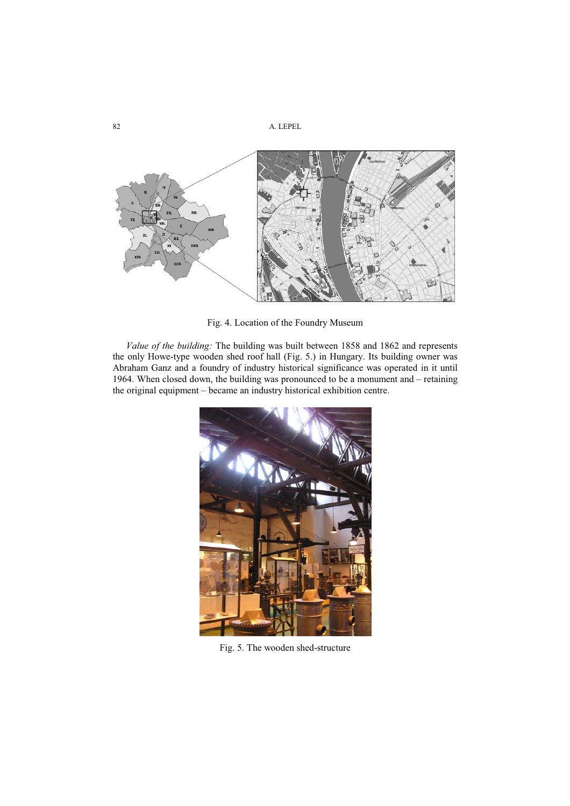

Fig. 4. Location of the Foundry Museum

*Value of the building:* The building was built between 1858 and 1862 and represents the only Howe-type wooden shed roof hall (Fig. 5.) in Hungary. Its building owner was Abraham Ganz and a foundry of industry historical significance was operated in it until 1964. When closed down, the building was pronounced to be a monument and – retaining the original equipment – became an industry historical exhibition centre.



Fig. 5. The wooden shed-structure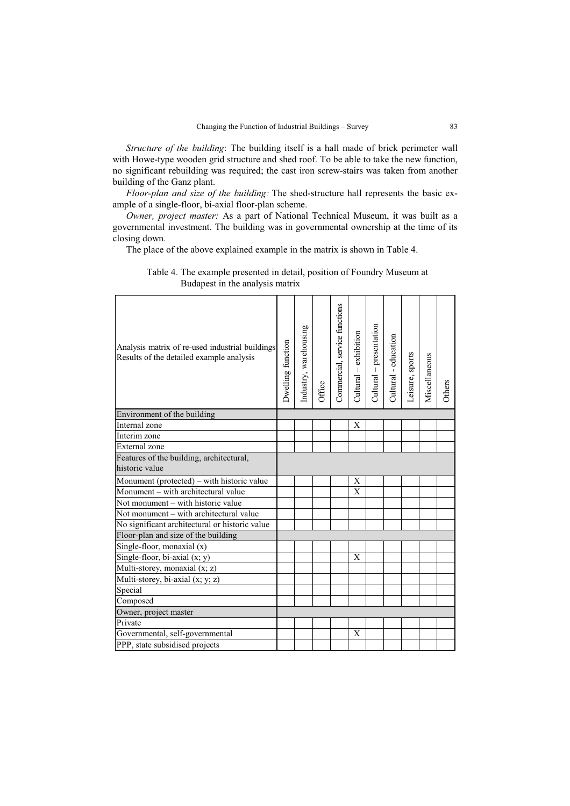*Structure of the building*: The building itself is a hall made of brick perimeter wall with Howe-type wooden grid structure and shed roof. To be able to take the new function, no significant rebuilding was required; the cast iron screw-stairs was taken from another building of the Ganz plant.

*Floor-plan and size of the building:* The shed-structure hall represents the basic example of a single-floor, bi-axial floor-plan scheme.

*Owner, project master:* As a part of National Technical Museum, it was built as a governmental investment. The building was in governmental ownership at the time of its closing down.

The place of the above explained example in the matrix is shown in Table 4.

| Analysis matrix of re-used industrial buildings<br>Results of the detailed example analysis | Dwelling function | Industry, warehousing | Office | Commercial, service functions | Cultural – exhibition | presentation<br>$Cultural -$ | Cultural - education | Leisure, sports | Miscellaneous | Others |
|---------------------------------------------------------------------------------------------|-------------------|-----------------------|--------|-------------------------------|-----------------------|------------------------------|----------------------|-----------------|---------------|--------|
| Environment of the building                                                                 |                   |                       |        |                               |                       |                              |                      |                 |               |        |
| Internal zone                                                                               |                   |                       |        |                               | X                     |                              |                      |                 |               |        |
| Interim zone                                                                                |                   |                       |        |                               |                       |                              |                      |                 |               |        |
| External zone                                                                               |                   |                       |        |                               |                       |                              |                      |                 |               |        |
| Features of the building, architectural,<br>historic value                                  |                   |                       |        |                               |                       |                              |                      |                 |               |        |
| Monument (protected) - with historic value                                                  |                   |                       |        |                               | X                     |                              |                      |                 |               |        |
| Monument - with architectural value                                                         |                   |                       |        |                               | Χ                     |                              |                      |                 |               |        |
| Not monument – with historic value                                                          |                   |                       |        |                               |                       |                              |                      |                 |               |        |
| Not monument - with architectural value                                                     |                   |                       |        |                               |                       |                              |                      |                 |               |        |
| No significant architectural or historic value                                              |                   |                       |        |                               |                       |                              |                      |                 |               |        |
| Floor-plan and size of the building                                                         |                   |                       |        |                               |                       |                              |                      |                 |               |        |
| Single-floor, monaxial (x)                                                                  |                   |                       |        |                               |                       |                              |                      |                 |               |        |
| Single-floor, bi-axial (x; y)                                                               |                   |                       |        |                               | X                     |                              |                      |                 |               |        |
| Multi-storey, monaxial (x; z)                                                               |                   |                       |        |                               |                       |                              |                      |                 |               |        |
| Multi-storey, bi-axial (x; y; z)                                                            |                   |                       |        |                               |                       |                              |                      |                 |               |        |
| Special                                                                                     |                   |                       |        |                               |                       |                              |                      |                 |               |        |
| Composed                                                                                    |                   |                       |        |                               |                       |                              |                      |                 |               |        |
| Owner, project master                                                                       |                   |                       |        |                               |                       |                              |                      |                 |               |        |
| Private                                                                                     |                   |                       |        |                               |                       |                              |                      |                 |               |        |
| Governmental, self-governmental                                                             |                   |                       |        |                               | X                     |                              |                      |                 |               |        |
| PPP, state subsidised projects                                                              |                   |                       |        |                               |                       |                              |                      |                 |               |        |

Table 4. The example presented in detail, position of Foundry Museum at Budapest in the analysis matrix